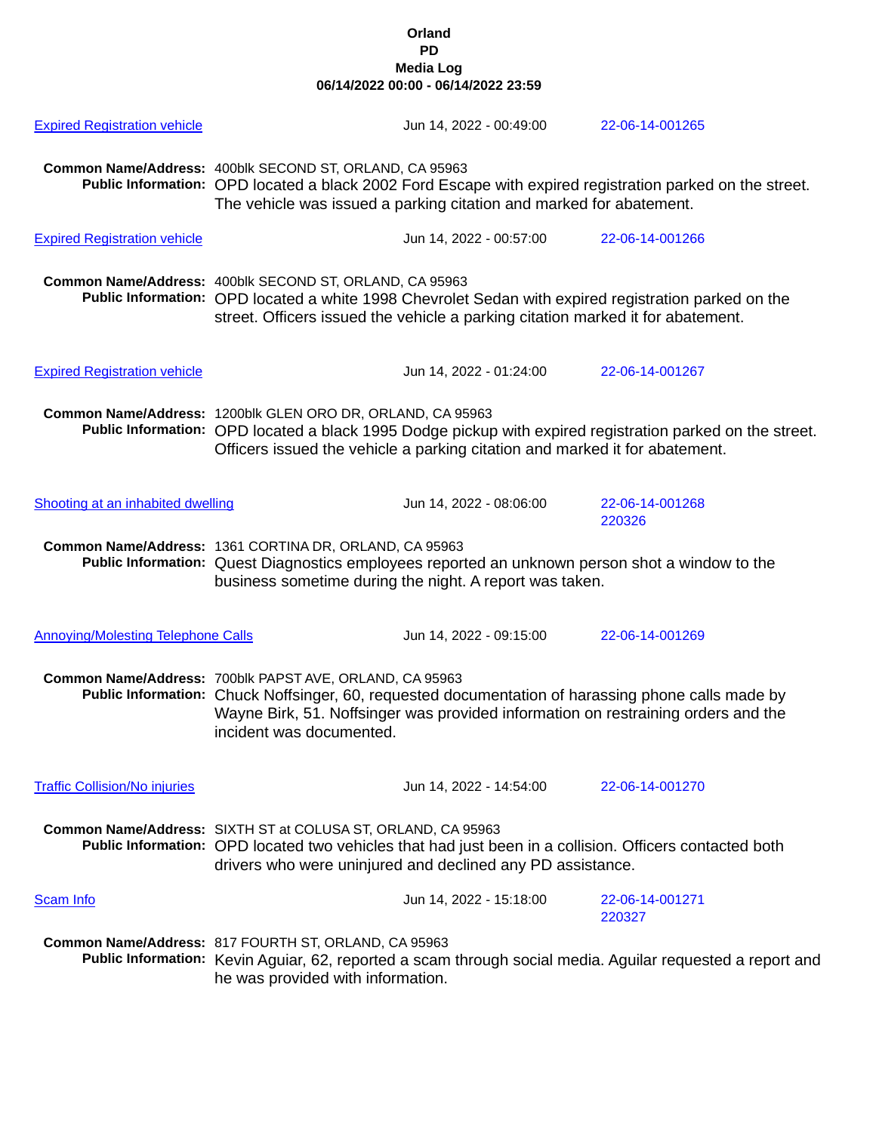## **Orland PD Media Log 06/14/2022 00:00 - 06/14/2022 23:59**

| <b>Expired Registration vehicle</b>       |                                                                                                                                                                                                                                                                                | Jun 14, 2022 - 00:49:00 | 22-06-14-001265                                                                                            |  |
|-------------------------------------------|--------------------------------------------------------------------------------------------------------------------------------------------------------------------------------------------------------------------------------------------------------------------------------|-------------------------|------------------------------------------------------------------------------------------------------------|--|
|                                           | Common Name/Address: 400blk SECOND ST, ORLAND, CA 95963<br>Public Information: OPD located a black 2002 Ford Escape with expired registration parked on the street.<br>The vehicle was issued a parking citation and marked for abatement.                                     |                         |                                                                                                            |  |
| <b>Expired Registration vehicle</b>       |                                                                                                                                                                                                                                                                                | Jun 14, 2022 - 00:57:00 | 22-06-14-001266                                                                                            |  |
|                                           | Common Name/Address: 400blk SECOND ST, ORLAND, CA 95963<br>Public Information: OPD located a white 1998 Chevrolet Sedan with expired registration parked on the<br>street. Officers issued the vehicle a parking citation marked it for abatement.                             |                         |                                                                                                            |  |
| <b>Expired Registration vehicle</b>       |                                                                                                                                                                                                                                                                                | Jun 14, 2022 - 01:24:00 | 22-06-14-001267                                                                                            |  |
|                                           | Common Name/Address: 1200blk GLEN ORO DR, ORLAND, CA 95963<br>Public Information: OPD located a black 1995 Dodge pickup with expired registration parked on the street.<br>Officers issued the vehicle a parking citation and marked it for abatement.                         |                         |                                                                                                            |  |
| Shooting at an inhabited dwelling         |                                                                                                                                                                                                                                                                                | Jun 14, 2022 - 08:06:00 | 22-06-14-001268<br>220326                                                                                  |  |
|                                           | Common Name/Address: 1361 CORTINA DR, ORLAND, CA 95963<br>Public Information: Quest Diagnostics employees reported an unknown person shot a window to the<br>business sometime during the night. A report was taken.                                                           |                         |                                                                                                            |  |
| <b>Annoying/Molesting Telephone Calls</b> |                                                                                                                                                                                                                                                                                | Jun 14, 2022 - 09:15:00 | 22-06-14-001269                                                                                            |  |
|                                           | Common Name/Address: 700blk PAPST AVE, ORLAND, CA 95963<br>Public Information: Chuck Noffsinger, 60, requested documentation of harassing phone calls made by<br>Wayne Birk, 51. Noffsinger was provided information on restraining orders and the<br>incident was documented. |                         |                                                                                                            |  |
| <b>Traffic Collision/No injuries</b>      |                                                                                                                                                                                                                                                                                | Jun 14, 2022 - 14:54:00 | 22-06-14-001270                                                                                            |  |
|                                           | Common Name/Address: SIXTH ST at COLUSA ST, ORLAND, CA 95963<br>Public Information: OPD located two vehicles that had just been in a collision. Officers contacted both<br>drivers who were uninjured and declined any PD assistance.                                          |                         |                                                                                                            |  |
| <b>Scam Info</b>                          |                                                                                                                                                                                                                                                                                | Jun 14, 2022 - 15:18:00 | 22-06-14-001271<br>220327                                                                                  |  |
|                                           | Common Name/Address: 817 FOURTH ST, ORLAND, CA 95963<br>he was provided with information.                                                                                                                                                                                      |                         | Public Information: Kevin Aguiar, 62, reported a scam through social media. Aguilar requested a report and |  |